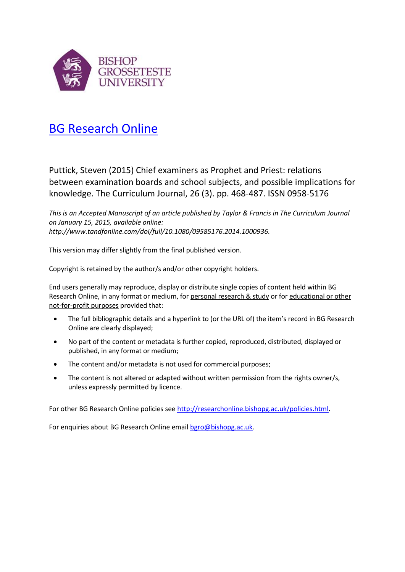

# [BG Research Online](http://researchonline.bishopg.ac.uk/)

Puttick, Steven (2015) Chief examiners as Prophet and Priest: relations between examination boards and school subjects, and possible implications for knowledge. The Curriculum Journal, 26 (3). pp. 468-487. ISSN 0958-5176

*This is an Accepted Manuscript of an article published by Taylor & Francis in The Curriculum Journal on January 15, 2015, available online: http://www.tandfonline.com/doi/full/10.1080/09585176.2014.1000936.*

This version may differ slightly from the final published version.

Copyright is retained by the author/s and/or other copyright holders.

End users generally may reproduce, display or distribute single copies of content held within BG Research Online, in any format or medium, for personal research & study or for educational or other not-for-profit purposes provided that:

- The full bibliographic details and a hyperlink to (or the URL of) the item's record in BG Research Online are clearly displayed;
- No part of the content or metadata is further copied, reproduced, distributed, displayed or published, in any format or medium;
- The content and/or metadata is not used for commercial purposes;
- The content is not altered or adapted without written permission from the rights owner/s, unless expressly permitted by licence.

For other BG Research Online policies se[e http://researchonline.bishopg.ac.uk/policies.html.](http://researchonline.bishopg.ac.uk/policies.html)

For enquiries about BG Research Online emai[l bgro@bishopg.ac.uk.](mailto:bgro@bishopg.ac.uk)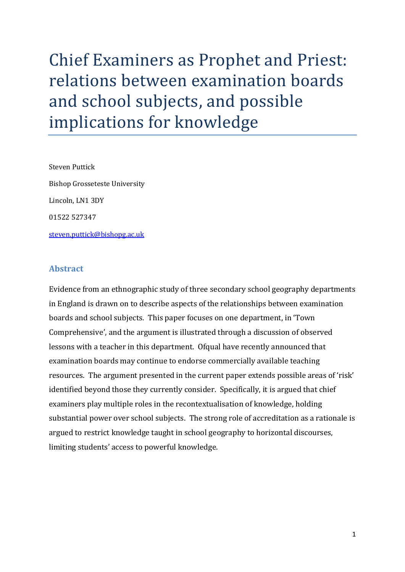# Chief Examiners as Prophet and Priest: relations between examination boards and school subjects, and possible implications for knowledge

Steven Puttick Bishop Grosseteste University Lincoln, LN1 3DY 01522 527347 [steven.puttick@bishopg.ac.uk](mailto:steven.puttick@bishopg.ac.uk)

# **Abstract**

Evidence from an ethnographic study of three secondary school geography departments in England is drawn on to describe aspects of the relationships between examination boards and school subjects. This paper focuses on one department, in 'Town Comprehensive', and the argument is illustrated through a discussion of observed lessons with a teacher in this department. Ofqual have recently announced that examination boards may continue to endorse commercially available teaching resources. The argument presented in the current paper extends possible areas of 'risk' identified beyond those they currently consider. Specifically, it is argued that chief examiners play multiple roles in the recontextualisation of knowledge, holding substantial power over school subjects. The strong role of accreditation as a rationale is argued to restrict knowledge taught in school geography to horizontal discourses, limiting students' access to powerful knowledge.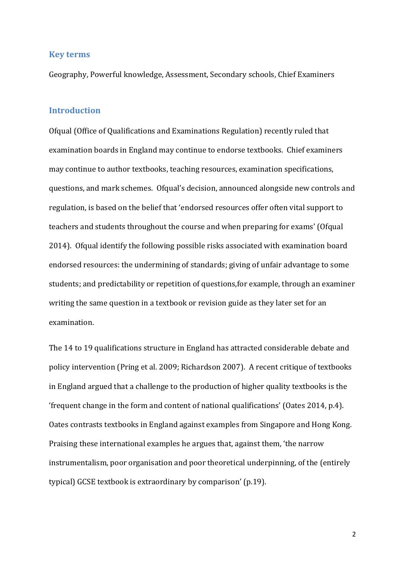#### **Key terms**

Geography, Powerful knowledge, Assessment, Secondary schools, Chief Examiners

#### **Introduction**

Ofqual (Office of Qualifications and Examinations Regulation) recently ruled that examination boards in England may continue to endorse textbooks. Chief examiners may continue to author textbooks, teaching resources, examination specifications, questions, and mark schemes. Ofqual's decision, announced alongside new controls and regulation, is based on the belief that 'endorsed resources offer often vital support to teachers and students throughout the course and when preparing for exams' (Ofqual 2014). Ofqual identify the following possible risks associated with examination board endorsed resources: the undermining of standards; giving of unfair advantage to some students; and predictability or repetition of questions,for example, through an examiner writing the same question in a textbook or revision guide as they later set for an examination.

The 14 to 19 qualifications structure in England has attracted considerable debate and policy intervention (Pring et al. 2009; Richardson 2007). A recent critique of textbooks in England argued that a challenge to the production of higher quality textbooks is the 'frequent change in the form and content of national qualifications' (Oates 2014, p.4). Oates contrasts textbooks in England against examples from Singapore and Hong Kong. Praising these international examples he argues that, against them, 'the narrow instrumentalism, poor organisation and poor theoretical underpinning, of the (entirely typical) GCSE textbook is extraordinary by comparison' (p.19).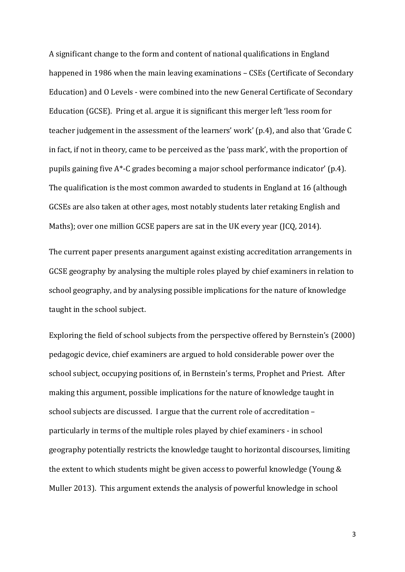A significant change to the form and content of national qualifications in England happened in 1986 when the main leaving examinations – CSEs (Certificate of Secondary Education) and O Levels - were combined into the new General Certificate of Secondary Education (GCSE). Pring et al. argue it is significant this merger left 'less room for teacher judgement in the assessment of the learners' work' (p.4), and also that 'Grade C in fact, if not in theory, came to be perceived as the 'pass mark', with the proportion of pupils gaining five A\*-C grades becoming a major school performance indicator' (p.4). The qualification is the most common awarded to students in England at 16 (although GCSEs are also taken at other ages, most notably students later retaking English and Maths); over one million GCSE papers are sat in the UK every year (JCQ, 2014).

The current paper presents anargument against existing accreditation arrangements in GCSE geography by analysing the multiple roles played by chief examiners in relation to school geography, and by analysing possible implications for the nature of knowledge taught in the school subject.

Exploring the field of school subjects from the perspective offered by Bernstein's (2000) pedagogic device, chief examiners are argued to hold considerable power over the school subject, occupying positions of, in Bernstein's terms, Prophet and Priest. After making this argument, possible implications for the nature of knowledge taught in school subjects are discussed. I argue that the current role of accreditation – particularly in terms of the multiple roles played by chief examiners - in school geography potentially restricts the knowledge taught to horizontal discourses, limiting the extent to which students might be given access to powerful knowledge (Young & Muller 2013). This argument extends the analysis of powerful knowledge in school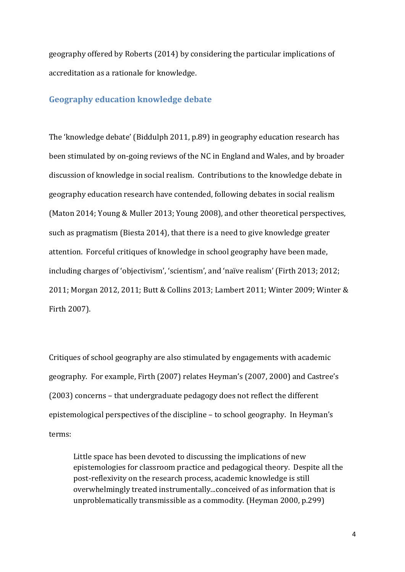geography offered by Roberts (2014) by considering the particular implications of accreditation as a rationale for knowledge.

#### **Geography education knowledge debate**

The 'knowledge debate' (Biddulph 2011, p.89) in geography education research has been stimulated by on-going reviews of the NC in England and Wales, and by broader discussion of knowledge in social realism. Contributions to the knowledge debate in geography education research have contended, following debates in social realism (Maton 2014; Young & Muller 2013; Young 2008), and other theoretical perspectives, such as pragmatism (Biesta 2014), that there is a need to give knowledge greater attention. Forceful critiques of knowledge in school geography have been made, including charges of 'objectivism', 'scientism', and 'naïve realism' (Firth 2013; 2012; 2011; Morgan 2012, 2011; Butt & Collins 2013; Lambert 2011; Winter 2009; Winter & Firth 2007).

Critiques of school geography are also stimulated by engagements with academic geography. For example, Firth (2007) relates Heyman's (2007, 2000) and Castree's (2003) concerns – that undergraduate pedagogy does not reflect the different epistemological perspectives of the discipline – to school geography. In Heyman's terms:

Little space has been devoted to discussing the implications of new epistemologies for classroom practice and pedagogical theory. Despite all the post-reflexivity on the research process, academic knowledge is still overwhelmingly treated instrumentally...conceived of as information that is unproblematically transmissible as a commodity. (Heyman 2000, p.299)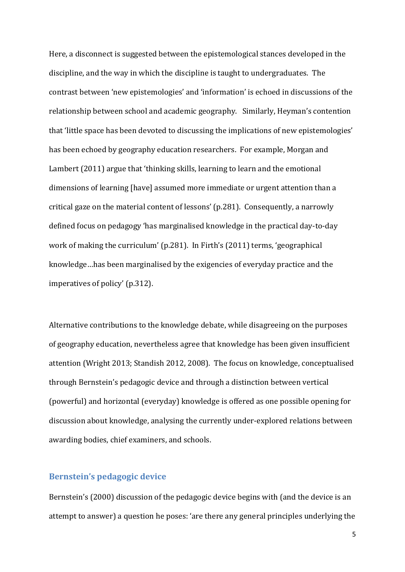Here, a disconnect is suggested between the epistemological stances developed in the discipline, and the way in which the discipline is taught to undergraduates. The contrast between 'new epistemologies' and 'information' is echoed in discussions of the relationship between school and academic geography. Similarly, Heyman's contention that 'little space has been devoted to discussing the implications of new epistemologies' has been echoed by geography education researchers. For example, Morgan and Lambert (2011) argue that 'thinking skills, learning to learn and the emotional dimensions of learning [have] assumed more immediate or urgent attention than a critical gaze on the material content of lessons' (p.281). Consequently, a narrowly defined focus on pedagogy 'has marginalised knowledge in the practical day-to-day work of making the curriculum' (p.281). In Firth's (2011) terms, 'geographical knowledge…has been marginalised by the exigencies of everyday practice and the imperatives of policy' (p.312).

Alternative contributions to the knowledge debate, while disagreeing on the purposes of geography education, nevertheless agree that knowledge has been given insufficient attention (Wright 2013; Standish 2012, 2008). The focus on knowledge, conceptualised through Bernstein's pedagogic device and through a distinction between vertical (powerful) and horizontal (everyday) knowledge is offered as one possible opening for discussion about knowledge, analysing the currently under-explored relations between awarding bodies, chief examiners, and schools.

# **Bernstein's pedagogic device**

Bernstein's (2000) discussion of the pedagogic device begins with (and the device is an attempt to answer) a question he poses: 'are there any general principles underlying the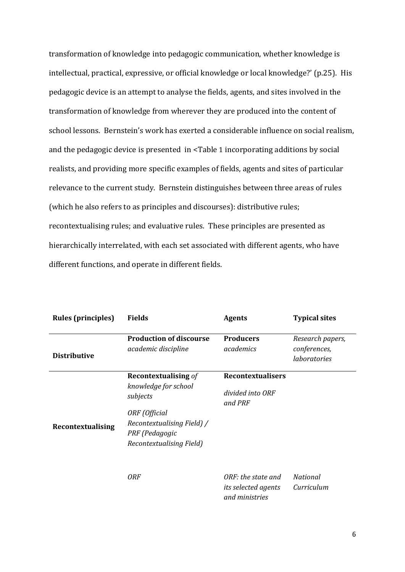transformation of knowledge into pedagogic communication, whether knowledge is intellectual, practical, expressive, or official knowledge or local knowledge?' (p.25). His pedagogic device is an attempt to analyse the fields, agents, and sites involved in the transformation of knowledge from wherever they are produced into the content of school lessons. Bernstein's work has exerted a considerable influence on social realism, and the pedagogic device is presented in [<Table](#page-7-0) 1 incorporating additions by social realists, and providing more specific examples of fields, agents and sites of particular relevance to the current study. Bernstein distinguishes between three areas of rules (which he also refers to as principles and discourses): distributive rules; recontextualising rules; and evaluative rules. These principles are presented as hierarchically interrelated, with each set associated with different agents, who have different functions, and operate in different fields.

| <b>Rules (principles)</b> | <b>Fields</b>                                                                                                                                                | <b>Agents</b>                                               | <b>Typical sites</b>                             |
|---------------------------|--------------------------------------------------------------------------------------------------------------------------------------------------------------|-------------------------------------------------------------|--------------------------------------------------|
| <b>Distributive</b>       | <b>Production of discourse</b><br>academic discipline                                                                                                        | <b>Producers</b><br>academics                               | Research papers,<br>conferences,<br>laboratories |
| Recontextualising         | <b>Recontextualising of</b><br>knowledge for school<br>subjects<br>ORF (Official<br>Recontextualising Field) /<br>PRF (Pedagogic<br>Recontextualising Field) | <b>Recontextualisers</b><br>divided into ORF<br>and PRF     |                                                  |
|                           | <b>ORF</b>                                                                                                                                                   | ORF: the state and<br>its selected agents<br>and ministries | <b>National</b><br>Curriculum                    |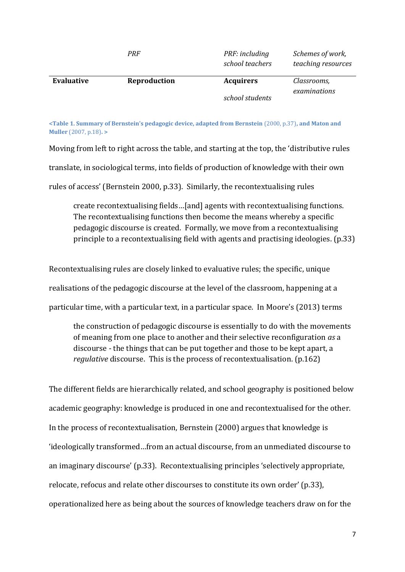|            | PRF          | PRF: including<br>school teachers   | Schemes of work,<br>teaching resources |
|------------|--------------|-------------------------------------|----------------------------------------|
| Evaluative | Reproduction | <b>Acquirers</b><br>school students | Classrooms,<br>examinations            |

<span id="page-7-0"></span>**<Table 1. Summary of Bernstein's pedagogic device, adapted from Bernstein** (2000, p.37)**, and Maton and Muller** (2007, p.18)**. >**

Moving from left to right across the table, and starting at the top, the 'distributive rules

translate, in sociological terms, into fields of production of knowledge with their own

rules of access' (Bernstein 2000, p.33). Similarly, the recontextualising rules

create recontextualising fields…[and] agents with recontextualising functions. The recontextualising functions then become the means whereby a specific pedagogic discourse is created. Formally, we move from a recontextualising principle to a recontextualising field with agents and practising ideologies. (p.33)

Recontextualising rules are closely linked to evaluative rules; the specific, unique realisations of the pedagogic discourse at the level of the classroom, happening at a particular time, with a particular text, in a particular space. In Moore's (2013) terms

the construction of pedagogic discourse is essentially to do with the movements of meaning from one place to another and their selective reconfiguration *as* a discourse - the things that can be put together and those to be kept apart, a *regulative* discourse. This is the process of recontextualisation. (p.162)

The different fields are hierarchically related, and school geography is positioned below academic geography: knowledge is produced in one and recontextualised for the other. In the process of recontextualisation, Bernstein (2000) argues that knowledge is 'ideologically transformed…from an actual discourse, from an unmediated discourse to an imaginary discourse' (p.33). Recontextualising principles 'selectively appropriate, relocate, refocus and relate other discourses to constitute its own order' (p.33), operationalized here as being about the sources of knowledge teachers draw on for the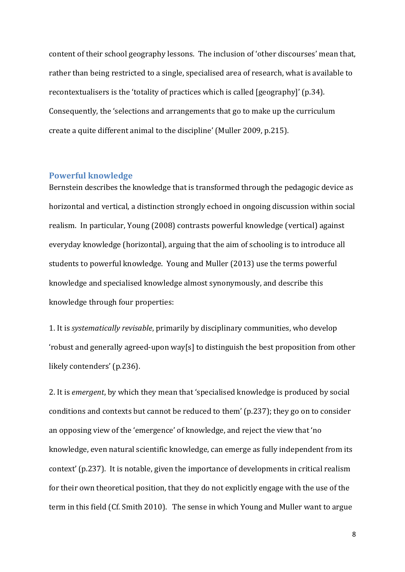content of their school geography lessons. The inclusion of 'other discourses' mean that, rather than being restricted to a single, specialised area of research, what is available to recontextualisers is the 'totality of practices which is called [geography]' (p.34). Consequently, the 'selections and arrangements that go to make up the curriculum create a quite different animal to the discipline' (Muller 2009, p.215).

#### **Powerful knowledge**

Bernstein describes the knowledge that is transformed through the pedagogic device as horizontal and vertical, a distinction strongly echoed in ongoing discussion within social realism. In particular, Young (2008) contrasts powerful knowledge (vertical) against everyday knowledge (horizontal), arguing that the aim of schooling is to introduce all students to powerful knowledge. Young and Muller (2013) use the terms powerful knowledge and specialised knowledge almost synonymously, and describe this knowledge through four properties:

1. It is *systematically revisable*, primarily by disciplinary communities, who develop 'robust and generally agreed-upon way[s] to distinguish the best proposition from other likely contenders' (p.236).

2. It is *emergent*, by which they mean that 'specialised knowledge is produced by social conditions and contexts but cannot be reduced to them' (p.237); they go on to consider an opposing view of the 'emergence' of knowledge, and reject the view that 'no knowledge, even natural scientific knowledge, can emerge as fully independent from its context' (p.237). It is notable, given the importance of developments in critical realism for their own theoretical position, that they do not explicitly engage with the use of the term in this field (Cf. Smith 2010). The sense in which Young and Muller want to argue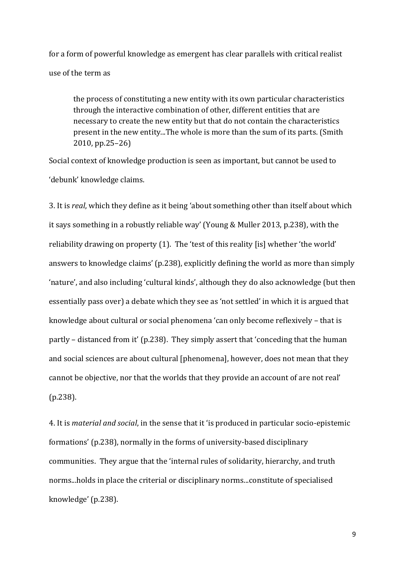for a form of powerful knowledge as emergent has clear parallels with critical realist use of the term as

the process of constituting a new entity with its own particular characteristics through the interactive combination of other, different entities that are necessary to create the new entity but that do not contain the characteristics present in the new entity...The whole is more than the sum of its parts. (Smith 2010, pp.25–26)

Social context of knowledge production is seen as important, but cannot be used to 'debunk' knowledge claims.

3. It is *real*, which they define as it being 'about something other than itself about which it says something in a robustly reliable way' (Young & Muller 2013, p.238), with the reliability drawing on property (1). The 'test of this reality [is] whether 'the world' answers to knowledge claims' (p.238), explicitly defining the world as more than simply 'nature', and also including 'cultural kinds', although they do also acknowledge (but then essentially pass over) a debate which they see as 'not settled' in which it is argued that knowledge about cultural or social phenomena 'can only become reflexively – that is partly – distanced from it' (p.238). They simply assert that 'conceding that the human and social sciences are about cultural [phenomena], however, does not mean that they cannot be objective, nor that the worlds that they provide an account of are not real' (p.238).

4. It is *material and social*, in the sense that it 'is produced in particular socio-epistemic formations' (p.238), normally in the forms of university-based disciplinary communities. They argue that the 'internal rules of solidarity, hierarchy, and truth norms...holds in place the criterial or disciplinary norms...constitute of specialised knowledge' (p.238).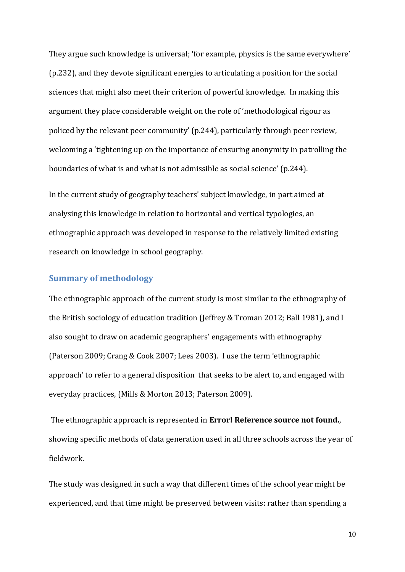They argue such knowledge is universal; 'for example, physics is the same everywhere' (p.232), and they devote significant energies to articulating a position for the social sciences that might also meet their criterion of powerful knowledge. In making this argument they place considerable weight on the role of 'methodological rigour as policed by the relevant peer community' (p.244), particularly through peer review, welcoming a 'tightening up on the importance of ensuring anonymity in patrolling the boundaries of what is and what is not admissible as social science' (p.244).

In the current study of geography teachers' subject knowledge, in part aimed at analysing this knowledge in relation to horizontal and vertical typologies, an ethnographic approach was developed in response to the relatively limited existing research on knowledge in school geography.

# **Summary of methodology**

The ethnographic approach of the current study is most similar to the ethnography of the British sociology of education tradition (Jeffrey & Troman 2012; Ball 1981), and I also sought to draw on academic geographers' engagements with ethnography (Paterson 2009; Crang & Cook 2007; Lees 2003). I use the term 'ethnographic approach' to refer to a general disposition that seeks to be alert to, and engaged with everyday practices, (Mills & Morton 2013; Paterson 2009).

The ethnographic approach is represented in **Error! Reference source not found.**, showing specific methods of data generation used in all three schools across the year of fieldwork.

The study was designed in such a way that different times of the school year might be experienced, and that time might be preserved between visits: rather than spending a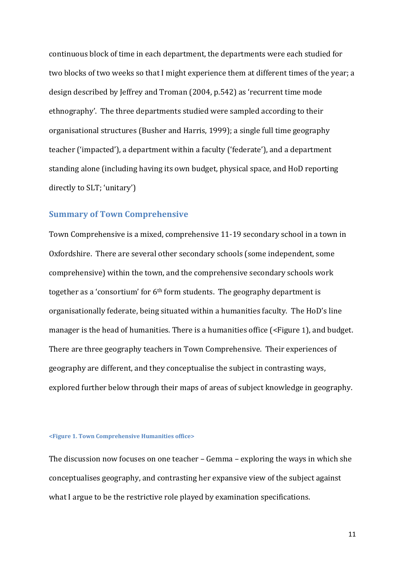continuous block of time in each department, the departments were each studied for two blocks of two weeks so that I might experience them at different times of the year; a design described by Jeffrey and Troman (2004, p.542) as 'recurrent time mode ethnography'. The three departments studied were sampled according to their organisational structures (Busher and Harris, 1999); a single full time geography teacher ('impacted'), a department within a faculty ('federate'), and a department standing alone (including having its own budget, physical space, and HoD reporting directly to SLT; 'unitary')

#### **Summary of Town Comprehensive**

Town Comprehensive is a mixed, comprehensive 11-19 secondary school in a town in Oxfordshire. There are several other secondary schools (some independent, some comprehensive) within the town, and the comprehensive secondary schools work together as a 'consortium' for 6th form students. The geography department is organisationally federate, being situated within a humanities faculty. The HoD's line manager is the head of humanities. There is a humanities office [\(<Figure](#page-11-0) 1), and budget. There are three geography teachers in Town Comprehensive. Their experiences of geography are different, and they conceptualise the subject in contrasting ways, explored further below through their maps of areas of subject knowledge in geography.

#### <span id="page-11-0"></span>**<Figure 1. Town Comprehensive Humanities office>**

The discussion now focuses on one teacher – Gemma – exploring the ways in which she conceptualises geography, and contrasting her expansive view of the subject against what I argue to be the restrictive role played by examination specifications.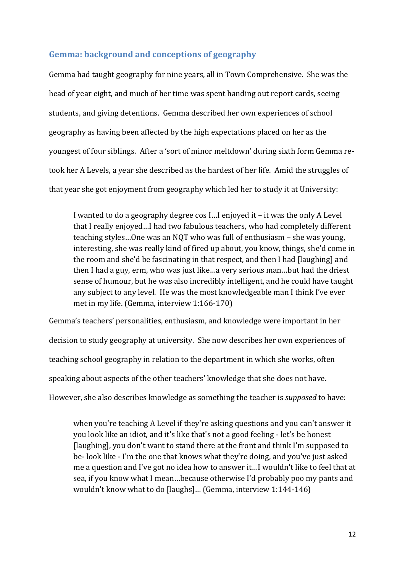# **Gemma: background and conceptions of geography**

Gemma had taught geography for nine years, all in Town Comprehensive. She was the head of year eight, and much of her time was spent handing out report cards, seeing students, and giving detentions. Gemma described her own experiences of school geography as having been affected by the high expectations placed on her as the youngest of four siblings. After a 'sort of minor meltdown' during sixth form Gemma retook her A Levels, a year she described as the hardest of her life. Amid the struggles of that year she got enjoyment from geography which led her to study it at University:

I wanted to do a geography degree cos I…I enjoyed it – it was the only A Level that I really enjoyed…I had two fabulous teachers, who had completely different teaching styles…One was an NQT who was full of enthusiasm – she was young, interesting, she was really kind of fired up about, you know, things, she'd come in the room and she'd be fascinating in that respect, and then I had [laughing] and then I had a guy, erm, who was just like…a very serious man…but had the driest sense of humour, but he was also incredibly intelligent, and he could have taught any subject to any level. He was the most knowledgeable man I think I've ever met in my life. (Gemma, interview 1:166-170)

Gemma's teachers' personalities, enthusiasm, and knowledge were important in her decision to study geography at university. She now describes her own experiences of teaching school geography in relation to the department in which she works, often speaking about aspects of the other teachers' knowledge that she does not have. However, she also describes knowledge as something the teacher is *supposed* to have:

when you're teaching A Level if they're asking questions and you can't answer it you look like an idiot, and it's like that's not a good feeling - let's be honest [laughing], you don't want to stand there at the front and think I'm supposed to be- look like - I'm the one that knows what they're doing, and you've just asked me a question and I've got no idea how to answer it…I wouldn't like to feel that at sea, if you know what I mean…because otherwise I'd probably poo my pants and wouldn't know what to do [laughs]… (Gemma, interview 1:144-146)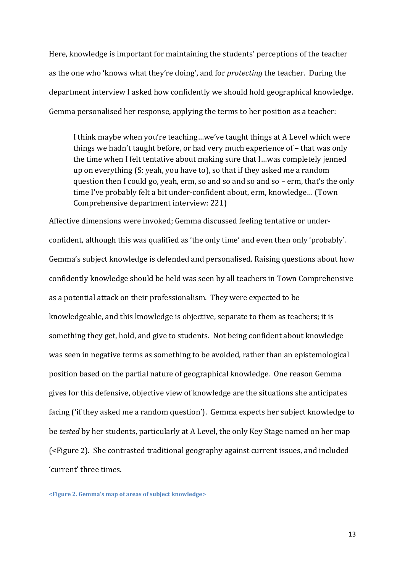Here, knowledge is important for maintaining the students' perceptions of the teacher as the one who 'knows what they're doing', and for *protecting* the teacher. During the department interview I asked how confidently we should hold geographical knowledge. Gemma personalised her response, applying the terms to her position as a teacher:

I think maybe when you're teaching…we've taught things at A Level which were things we hadn't taught before, or had very much experience of – that was only the time when I felt tentative about making sure that I…was completely jenned up on everything (S: yeah, you have to), so that if they asked me a random question then I could go, yeah, erm, so and so and so and so – erm, that's the only time I've probably felt a bit under-confident about, erm, knowledge… (Town Comprehensive department interview: 221)

Affective dimensions were invoked; Gemma discussed feeling tentative or underconfident, although this was qualified as 'the only time' and even then only 'probably'. Gemma's subject knowledge is defended and personalised. Raising questions about how confidently knowledge should be held was seen by all teachers in Town Comprehensive as a potential attack on their professionalism. They were expected to be knowledgeable, and this knowledge is objective, separate to them as teachers; it is something they get, hold, and give to students. Not being confident about knowledge was seen in negative terms as something to be avoided, rather than an epistemological position based on the partial nature of geographical knowledge. One reason Gemma gives for this defensive, objective view of knowledge are the situations she anticipates facing ('if they asked me a random question'). Gemma expects her subject knowledge to be *tested* by her students, particularly at A Level, the only Key Stage named on her map [\(<Figure](#page-13-0) 2). She contrasted traditional geography against current issues, and included 'current' three times.

<span id="page-13-0"></span>**<Figure 2. Gemma's map of areas of subject knowledge>**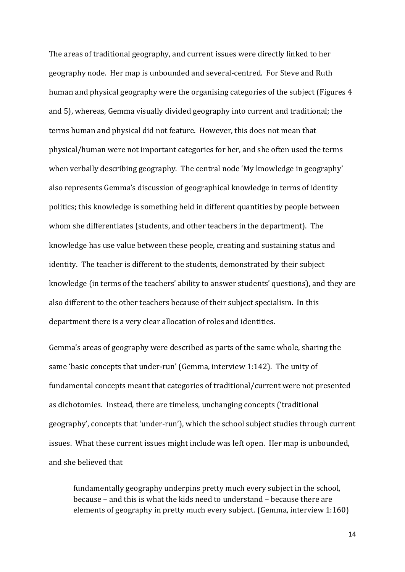The areas of traditional geography, and current issues were directly linked to her geography node. Her map is unbounded and several-centred. For Steve and Ruth human and physical geography were the organising categories of the subject (Figures 4 and 5), whereas, Gemma visually divided geography into current and traditional; the terms human and physical did not feature. However, this does not mean that physical/human were not important categories for her, and she often used the terms when verbally describing geography. The central node 'My knowledge in geography' also represents Gemma's discussion of geographical knowledge in terms of identity politics; this knowledge is something held in different quantities by people between whom she differentiates (students, and other teachers in the department). The knowledge has use value between these people, creating and sustaining status and identity. The teacher is different to the students, demonstrated by their subject knowledge (in terms of the teachers' ability to answer students' questions), and they are also different to the other teachers because of their subject specialism. In this department there is a very clear allocation of roles and identities.

Gemma's areas of geography were described as parts of the same whole, sharing the same 'basic concepts that under-run' (Gemma, interview 1:142). The unity of fundamental concepts meant that categories of traditional/current were not presented as dichotomies. Instead, there are timeless, unchanging concepts ('traditional geography', concepts that 'under-run'), which the school subject studies through current issues. What these current issues might include was left open. Her map is unbounded, and she believed that

fundamentally geography underpins pretty much every subject in the school, because – and this is what the kids need to understand – because there are elements of geography in pretty much every subject. (Gemma, interview 1:160)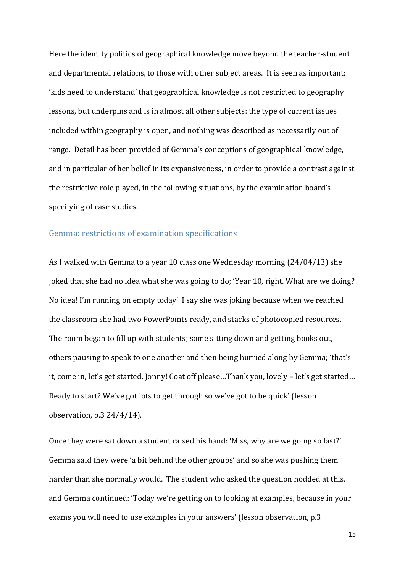Here the identity politics of geographical knowledge move beyond the teacher-student and departmental relations, to those with other subject areas. It is seen as important; 'kids need to understand' that geographical knowledge is not restricted to geography lessons, but underpins and is in almost all other subjects: the type of current issues included within geography is open, and nothing was described as necessarily out of range. Detail has been provided of Gemma's conceptions of geographical knowledge, and in particular of her belief in its expansiveness, in order to provide a contrast against the restrictive role played, in the following situations, by the examination board's specifying of case studies.

#### Gemma: restrictions of examination specifications

As I walked with Gemma to a year 10 class one Wednesday morning (24/04/13) she joked that she had no idea what she was going to do; 'Year 10, right. What are we doing? No idea! I'm running on empty today' I say she was joking because when we reached the classroom she had two PowerPoints ready, and stacks of photocopied resources. The room began to fill up with students; some sitting down and getting books out, others pausing to speak to one another and then being hurried along by Gemma; 'that's it, come in, let's get started. Jonny! Coat off please…Thank you, lovely – let's get started… Ready to start? We've got lots to get through so we've got to be quick' (lesson observation, p.3 24/4/14)*.*

Once they were sat down a student raised his hand: 'Miss, why are we going so fast?' Gemma said they were 'a bit behind the other groups' and so she was pushing them harder than she normally would. The student who asked the question nodded at this, and Gemma continued: 'Today we're getting on to looking at examples, because in your exams you will need to use examples in your answers' (lesson observation, p.3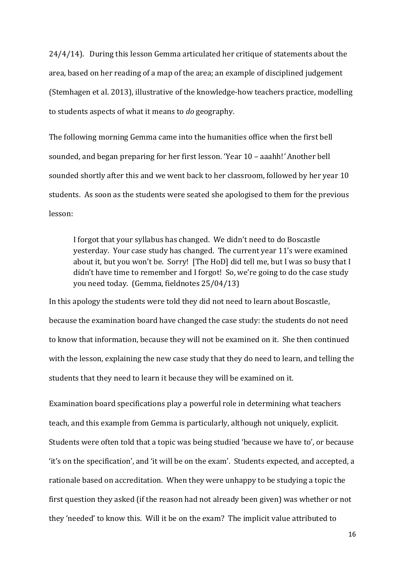24/4/14). During this lesson Gemma articulated her critique of statements about the area, based on her reading of a map of the area; an example of disciplined judgement (Stemhagen et al. 2013), illustrative of the knowledge-how teachers practice, modelling to students aspects of what it means to *do* geography.

The following morning Gemma came into the humanities office when the first bell sounded, and began preparing for her first lesson. 'Year 10 – aaahh!*'* Another bell sounded shortly after this and we went back to her classroom, followed by her year 10 students. As soon as the students were seated she apologised to them for the previous lesson:

I forgot that your syllabus has changed. We didn't need to do Boscastle yesterday. Your case study has changed. The current year 11's were examined about it, but you won't be. Sorry! [The HoD] did tell me, but I was so busy that I didn't have time to remember and I forgot! So, we're going to do the case study you need today. (Gemma, fieldnotes 25/04/13)

In this apology the students were told they did not need to learn about Boscastle, because the examination board have changed the case study: the students do not need to know that information, because they will not be examined on it. She then continued with the lesson, explaining the new case study that they do need to learn, and telling the students that they need to learn it because they will be examined on it.

Examination board specifications play a powerful role in determining what teachers teach, and this example from Gemma is particularly, although not uniquely, explicit. Students were often told that a topic was being studied 'because we have to', or because 'it's on the specification', and 'it will be on the exam'. Students expected, and accepted, a rationale based on accreditation. When they were unhappy to be studying a topic the first question they asked (if the reason had not already been given) was whether or not they 'needed' to know this. Will it be on the exam? The implicit value attributed to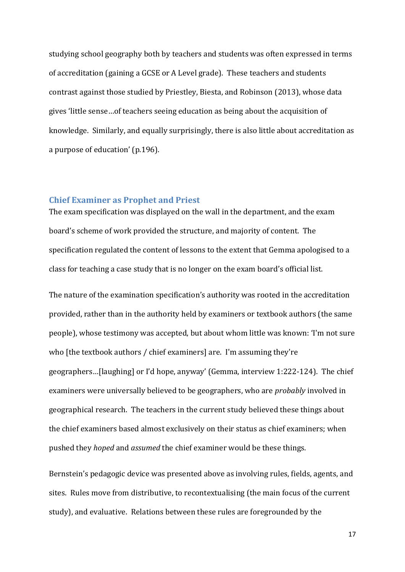studying school geography both by teachers and students was often expressed in terms of accreditation (gaining a GCSE or A Level grade). These teachers and students contrast against those studied by Priestley, Biesta, and Robinson (2013), whose data gives 'little sense…of teachers seeing education as being about the acquisition of knowledge. Similarly, and equally surprisingly, there is also little about accreditation as a purpose of education' (p.196).

#### **Chief Examiner as Prophet and Priest**

The exam specification was displayed on the wall in the department, and the exam board's scheme of work provided the structure, and majority of content. The specification regulated the content of lessons to the extent that Gemma apologised to a class for teaching a case study that is no longer on the exam board's official list.

The nature of the examination specification's authority was rooted in the accreditation provided, rather than in the authority held by examiners or textbook authors (the same people), whose testimony was accepted, but about whom little was known: 'I'm not sure who [the textbook authors / chief examiners] are. I'm assuming they're geographers…[laughing] or I'd hope, anyway' (Gemma, interview 1:222-124). The chief examiners were universally believed to be geographers, who are *probably* involved in geographical research. The teachers in the current study believed these things about the chief examiners based almost exclusively on their status as chief examiners; when pushed they *hoped* and *assumed* the chief examiner would be these things.

Bernstein's pedagogic device was presented above as involving rules, fields, agents, and sites. Rules move from distributive, to recontextualising (the main focus of the current study), and evaluative. Relations between these rules are foregrounded by the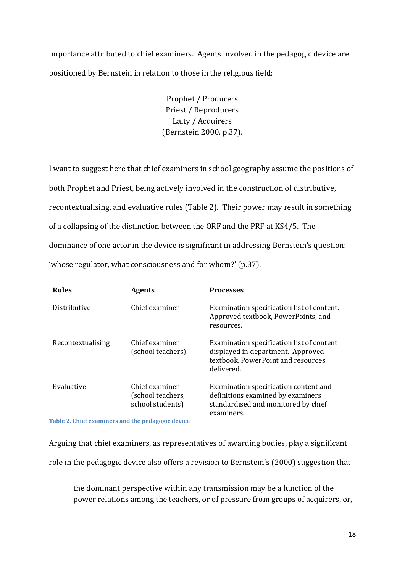importance attributed to chief examiners. Agents involved in the pedagogic device are positioned by Bernstein in relation to those in the religious field:

> Prophet / Producers Priest / Reproducers Laity / Acquirers (Bernstein 2000, p.37).

I want to suggest here that chief examiners in school geography assume the positions of both Prophet and Priest, being actively involved in the construction of distributive, recontextualising, and evaluative rules [\(Table 2\)](#page-18-0). Their power may result in something of a collapsing of the distinction between the ORF and the PRF at KS4/5. The dominance of one actor in the device is significant in addressing Bernstein's question: 'whose regulator, what consciousness and for whom?' (p.37).

| <b>Rules</b>      | <b>Agents</b>                                           | <b>Processes</b>                                                                                                                   |
|-------------------|---------------------------------------------------------|------------------------------------------------------------------------------------------------------------------------------------|
| Distributive      | Chief examiner                                          | Examination specification list of content.<br>Approved textbook, PowerPoints, and<br>resources.                                    |
| Recontextualising | Chief examiner<br>(school teachers)                     | Examination specification list of content<br>displayed in department. Approved<br>textbook, PowerPoint and resources<br>delivered. |
| Evaluative        | Chief examiner<br>(school teachers,<br>school students) | Examination specification content and<br>definitions examined by examiners<br>standardised and monitored by chief<br>examiners.    |

<span id="page-18-0"></span>**Table 2. Chief examiners and the pedagogic device**

Arguing that chief examiners, as representatives of awarding bodies, play a significant role in the pedagogic device also offers a revision to Bernstein's (2000) suggestion that

the dominant perspective within any transmission may be a function of the power relations among the teachers, or of pressure from groups of acquirers, or,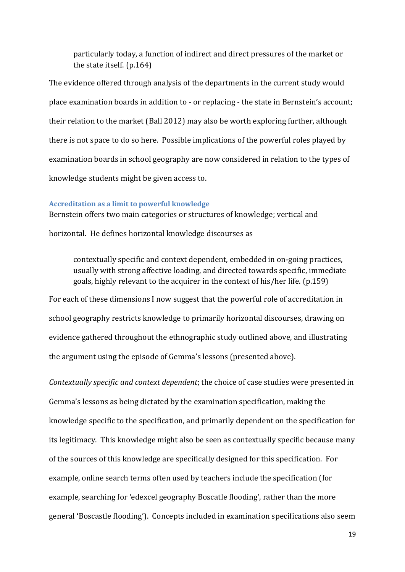particularly today, a function of indirect and direct pressures of the market or the state itself. (p.164)

The evidence offered through analysis of the departments in the current study would place examination boards in addition to - or replacing - the state in Bernstein's account; their relation to the market (Ball 2012) may also be worth exploring further, although there is not space to do so here. Possible implications of the powerful roles played by examination boards in school geography are now considered in relation to the types of knowledge students might be given access to.

#### **Accreditation as a limit to powerful knowledge**

Bernstein offers two main categories or structures of knowledge; vertical and

horizontal. He defines horizontal knowledge discourses as

contextually specific and context dependent, embedded in on-going practices, usually with strong affective loading, and directed towards specific, immediate goals, highly relevant to the acquirer in the context of his/her life. (p.159)

For each of these dimensions I now suggest that the powerful role of accreditation in school geography restricts knowledge to primarily horizontal discourses, drawing on evidence gathered throughout the ethnographic study outlined above, and illustrating the argument using the episode of Gemma's lessons (presented above).

*Contextually specific and context dependent*; the choice of case studies were presented in Gemma's lessons as being dictated by the examination specification, making the knowledge specific to the specification, and primarily dependent on the specification for its legitimacy. This knowledge might also be seen as contextually specific because many of the sources of this knowledge are specifically designed for this specification. For example, online search terms often used by teachers include the specification (for example, searching for 'edexcel geography Boscatle flooding', rather than the more general 'Boscastle flooding'). Concepts included in examination specifications also seem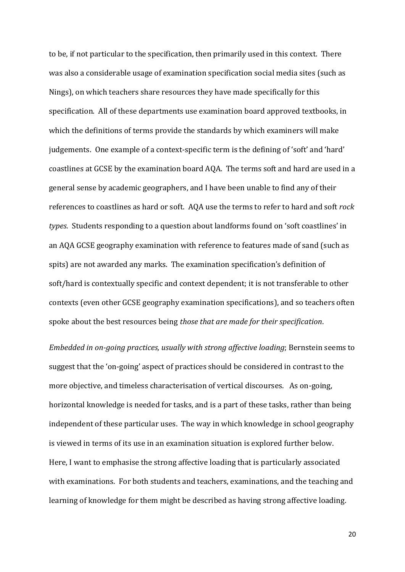to be, if not particular to the specification, then primarily used in this context. There was also a considerable usage of examination specification social media sites (such as Nings), on which teachers share resources they have made specifically for this specification. All of these departments use examination board approved textbooks, in which the definitions of terms provide the standards by which examiners will make judgements. One example of a context-specific term is the defining of 'soft' and 'hard' coastlines at GCSE by the examination board AQA. The terms soft and hard are used in a general sense by academic geographers, and I have been unable to find any of their references to coastlines as hard or soft. AQA use the terms to refer to hard and soft *rock types*. Students responding to a question about landforms found on 'soft coastlines' in an AQA GCSE geography examination with reference to features made of sand (such as spits) are not awarded any marks. The examination specification's definition of soft/hard is contextually specific and context dependent; it is not transferable to other contexts (even other GCSE geography examination specifications), and so teachers often spoke about the best resources being *those that are made for their specification*.

*Embedded in on-going practices, usually with strong affective loading*; Bernstein seems to suggest that the 'on-going' aspect of practices should be considered in contrast to the more objective, and timeless characterisation of vertical discourses. As on-going, horizontal knowledge is needed for tasks, and is a part of these tasks, rather than being independent of these particular uses. The way in which knowledge in school geography is viewed in terms of its use in an examination situation is explored further below. Here, I want to emphasise the strong affective loading that is particularly associated with examinations. For both students and teachers, examinations, and the teaching and learning of knowledge for them might be described as having strong affective loading.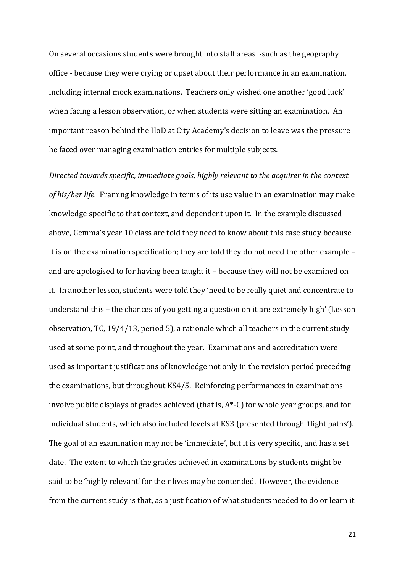On several occasions students were brought into staff areas -such as the geography office - because they were crying or upset about their performance in an examination, including internal mock examinations. Teachers only wished one another 'good luck' when facing a lesson observation, or when students were sitting an examination. An important reason behind the HoD at City Academy's decision to leave was the pressure he faced over managing examination entries for multiple subjects.

*Directed towards specific, immediate goals, highly relevant to the acquirer in the context of his/her life.* Framing knowledge in terms of its use value in an examination may make knowledge specific to that context, and dependent upon it. In the example discussed above, Gemma's year 10 class are told they need to know about this case study because it is on the examination specification; they are told they do not need the other example – and are apologised to for having been taught it – because they will not be examined on it. In another lesson, students were told they 'need to be really quiet and concentrate to understand this – the chances of you getting a question on it are extremely high' (Lesson observation, TC, 19/4/13, period 5), a rationale which all teachers in the current study used at some point, and throughout the year. Examinations and accreditation were used as important justifications of knowledge not only in the revision period preceding the examinations, but throughout KS4/5. Reinforcing performances in examinations involve public displays of grades achieved (that is,  $A^*$ -C) for whole year groups, and for individual students, which also included levels at KS3 (presented through 'flight paths'). The goal of an examination may not be 'immediate', but it is very specific, and has a set date. The extent to which the grades achieved in examinations by students might be said to be 'highly relevant' for their lives may be contended. However, the evidence from the current study is that, as a justification of what students needed to do or learn it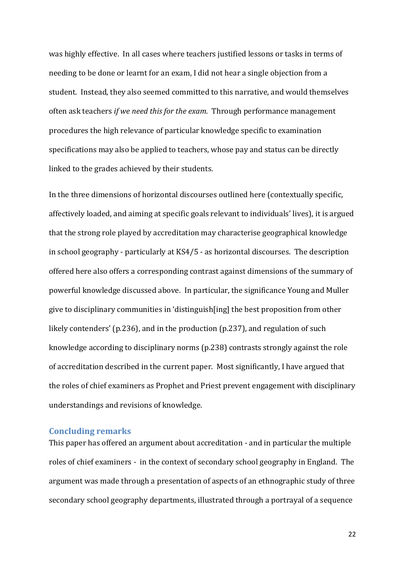was highly effective. In all cases where teachers justified lessons or tasks in terms of needing to be done or learnt for an exam, I did not hear a single objection from a student. Instead, they also seemed committed to this narrative, and would themselves often ask teachers *if we need this for the exam.* Through performance management procedures the high relevance of particular knowledge specific to examination specifications may also be applied to teachers, whose pay and status can be directly linked to the grades achieved by their students.

In the three dimensions of horizontal discourses outlined here (contextually specific, affectively loaded, and aiming at specific goals relevant to individuals' lives), it is argued that the strong role played by accreditation may characterise geographical knowledge in school geography - particularly at KS4/5 - as horizontal discourses. The description offered here also offers a corresponding contrast against dimensions of the summary of powerful knowledge discussed above. In particular, the significance Young and Muller give to disciplinary communities in 'distinguish[ing] the best proposition from other likely contenders' (p.236), and in the production (p.237), and regulation of such knowledge according to disciplinary norms (p.238) contrasts strongly against the role of accreditation described in the current paper. Most significantly, I have argued that the roles of chief examiners as Prophet and Priest prevent engagement with disciplinary understandings and revisions of knowledge.

# **Concluding remarks**

This paper has offered an argument about accreditation - and in particular the multiple roles of chief examiners - in the context of secondary school geography in England. The argument was made through a presentation of aspects of an ethnographic study of three secondary school geography departments, illustrated through a portrayal of a sequence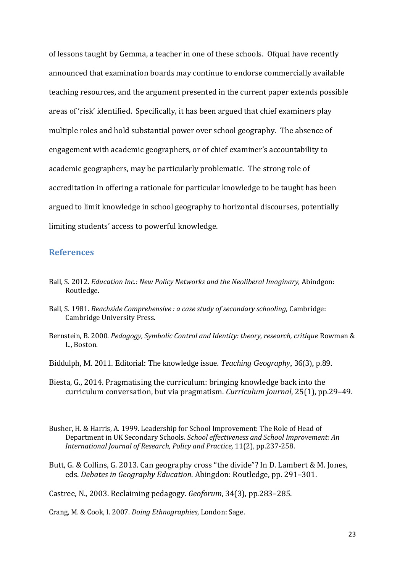of lessons taught by Gemma, a teacher in one of these schools. Ofqual have recently announced that examination boards may continue to endorse commercially available teaching resources, and the argument presented in the current paper extends possible areas of 'risk' identified. Specifically, it has been argued that chief examiners play multiple roles and hold substantial power over school geography. The absence of engagement with academic geographers, or of chief examiner's accountability to academic geographers, may be particularly problematic. The strong role of accreditation in offering a rationale for particular knowledge to be taught has been argued to limit knowledge in school geography to horizontal discourses, potentially limiting students' access to powerful knowledge.

#### **References**

- Ball, S. 2012. *Education Inc.: New Policy Networks and the Neoliberal Imaginary*, Abindgon: Routledge.
- Ball, S. 1981. *Beachside Comprehensive : a case study of secondary schooling*, Cambridge: Cambridge University Press.
- Bernstein, B. 2000. *Pedagogy, Symbolic Control and Identity: theory, research, critique* Rowman & L., Boston.
- Biddulph, M. 2011. Editorial: The knowledge issue. *Teaching Geography*, 36(3), p.89.
- Biesta, G., 2014. Pragmatising the curriculum: bringing knowledge back into the curriculum conversation, but via pragmatism. *Curriculum Journal*, 25(1), pp.29–49.
- Busher, H. & Harris, A. 1999. Leadership for School Improvement: The Role of Head of Department in UK Secondary Schools. *School effectiveness and School Improvement: An International Journal of Research, Policy and Practice,* 11(2), pp.237-258.
- Butt, G. & Collins, G. 2013. Can geography cross "the divide"? In D. Lambert & M. Jones, eds. *Debates in Geography Education*. Abingdon: Routledge, pp. 291–301.

Castree, N., 2003. Reclaiming pedagogy. *Geoforum*, 34(3), pp.283–285.

Crang, M. & Cook, I. 2007. *Doing Ethnographies*, London: Sage.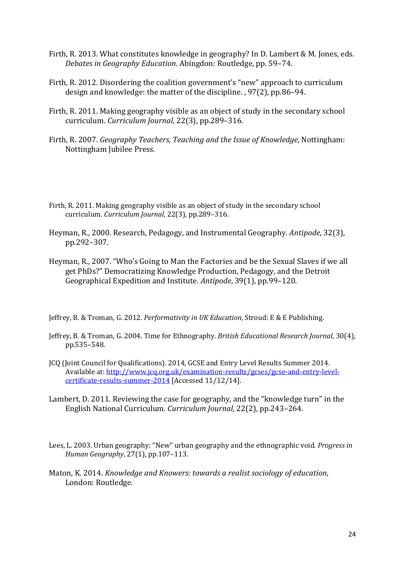- Firth, R. 2013. What constitutes knowledge in geography? In D. Lambert & M. Jones, eds. *Debates in Geography Education*. Abingdon: Routledge, pp. 59–74.
- Firth, R. 2012. Disordering the coalition government's "new" approach to curriculum design and knowledge: the matter of the discipline. , 97(2), pp.86–94.
- Firth, R. 2011. Making geography visible as an object of study in the secondary school curriculum. *Curriculum Journal*, 22(3), pp.289–316.
- Firth, R. 2007. *Geography Teachers, Teaching and the Issue of Knowledge*, Nottingham: Nottingham Jubilee Press.
- Firth, R. 2011. Making geography visible as an object of study in the secondary school curriculum. *Curriculum Journal*, 22(3), pp.289–316.
- Heyman, R., 2000. Research, Pedagogy, and Instrumental Geography. *Antipode*, 32(3), pp.292–307.
- Heyman, R., 2007. "Who's Going to Man the Factories and be the Sexual Slaves if we all get PhDs?" Democratizing Knowledge Production, Pedagogy, and the Detroit Geographical Expedition and Institute. *Antipode*, 39(1), pp.99–120.
- Jeffrey, B. & Troman, G. 2012. *Performativity in UK Education*, Stroud: E & E Publishing.
- Jeffrey, B. & Troman, G. 2004. Time for Ethnography. *British Educational Research Journal*, 30(4), pp.535–548.
- JCQ (Joint Council for Qualifications). 2014, GCSE and Entry Level Results Summer 2014. Available at[: http://www.jcq.org.uk/examination-results/gcses/gcse-and-entry-level](http://www.jcq.org.uk/examination-results/gcses/gcse-and-entry-level-certificate-results-summer-2014)[certificate-results-summer-2014](http://www.jcq.org.uk/examination-results/gcses/gcse-and-entry-level-certificate-results-summer-2014) [Accessed 11/12/14].
- Lambert, D. 2011. Reviewing the case for geography, and the "knowledge turn" in the English National Curriculum. *Curriculum Journal*, 22(2), pp.243–264.
- Lees, L. 2003. Urban geography: "New" urban geography and the ethnographic void. *Progress in Human Geography*, 27(1), pp.107–113.
- Maton, K. 2014. *Knowledge and Knowers: towards a realist sociology of education*, London: Routledge.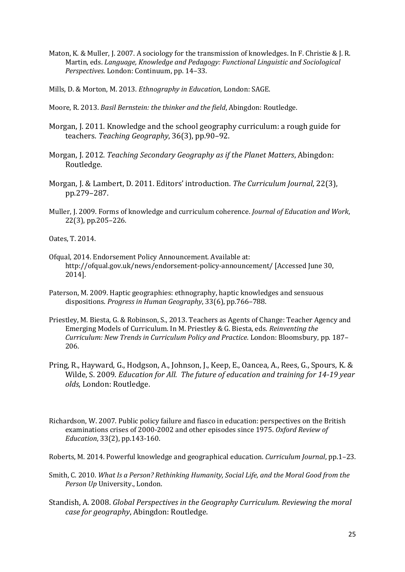Maton, K. & Muller, J. 2007. A sociology for the transmission of knowledges. In F. Christie & J. R. Martin, eds. *Language, Knowledge and Pedagogy: Functional Linguistic and Sociological Perspectives*. London: Continuum, pp. 14–33.

Mills, D. & Morton, M. 2013. *Ethnography in Education*, London: SAGE.

- Moore, R. 2013. *Basil Bernstein: the thinker and the field*, Abingdon: Routledge.
- Morgan, J. 2011. Knowledge and the school geography curriculum: a rough guide for teachers. *Teaching Geography*, 36(3), pp.90–92.
- Morgan, J. 2012. *Teaching Secondary Geography as if the Planet Matters*, Abingdon: Routledge.
- Morgan, J. & Lambert, D. 2011. Editors' introduction. *The Curriculum Journal*, 22(3), pp.279–287.
- Muller, J. 2009. Forms of knowledge and curriculum coherence. *Journal of Education and Work*, 22(3), pp.205–226.

Oates, T. 2014.

- Ofqual, 2014. Endorsement Policy Announcement. Available at: http://ofqual.gov.uk/news/endorsement-policy-announcement/ [Accessed June 30, 2014].
- Paterson, M. 2009. Haptic geographies: ethnography, haptic knowledges and sensuous dispositions. *Progress in Human Geography*, 33(6), pp.766–788.
- Priestley, M. Biesta, G. & Robinson, S., 2013. Teachers as Agents of Change: Teacher Agency and Emerging Models of Curriculum. In M. Priestley & G. Biesta, eds. *Reinventing the Curriculum: New Trends in Curriculum Policy and Practice*. London: Bloomsbury, pp. 187– 206.
- Pring, R., Hayward, G., Hodgson, A., Johnson, J., Keep, E., Oancea, A., Rees, G., Spours, K. & Wilde, S. 2009. *Education for All. The future of education and training for 14-19 year olds*, London: Routledge.
- Richardson, W. 2007. Public policy failure and fiasco in education: perspectives on the British examinations crises of 2000-2002 and other episodes since 1975. *Oxford Review of Education*, 33(2), pp.143-160.
- Roberts, M. 2014. Powerful knowledge and geographical education. *Curriculum Journal*, pp.1–23.
- Smith, C. 2010. *What Is a Person? Rethinking Humanity, Social Life, and the Moral Good from the Person Up* University., London.
- Standish, A. 2008. *Global Perspectives in the Geography Curriculum. Reviewing the moral case for geography*, Abingdon: Routledge.